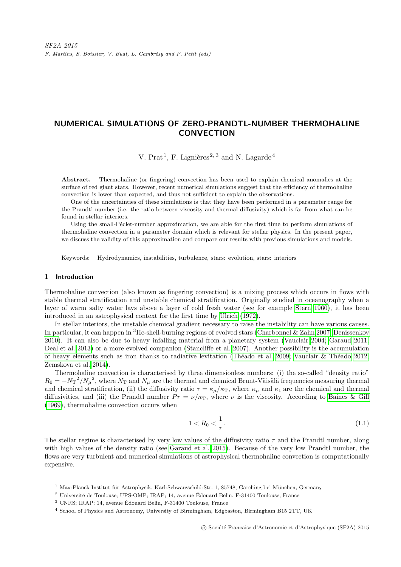# NUMERICAL SIMULATIONS OF ZERO-PRANDTL-NUMBER THERMOHALINE **CONVECTION**

V. Prat<sup>1</sup>, F. Lignières<sup>2, 3</sup> and N. Lagarde<sup>4</sup>

Abstract. Thermohaline (or fingering) convection has been used to explain chemical anomalies at the surface of red giant stars. However, recent numerical simulations suggest that the efficiency of thermohaline convection is lower than expected, and thus not sufficient to explain the observations.

One of the uncertainties of these simulations is that they have been performed in a parameter range for the Prandtl number (i.e. the ratio between viscosity and thermal diffusivity) which is far from what can be found in stellar interiors.

Using the small-Péclet-number approximation, we are able for the first time to perform simulations of thermohaline convection in a parameter domain which is relevant for stellar physics. In the present paper, we discuss the validity of this approximation and compare our results with previous simulations and models.

Keywords: Hydrodynamics, instabilities, turbulence, stars: evolution, stars: interiors

## 1 Introduction

Thermohaline convection (also known as fingering convection) is a mixing process which occurs in flows with stable thermal stratification and unstable chemical stratification. Originally studied in oceanography when a layer of warm salty water lays above a layer of cold fresh water (see for example [Stern 1960\)](#page-3-0), it has been introduced in an astrophysical context for the first time by [Ulrich](#page-3-1) [\(1972\)](#page-3-1).

In stellar interiors, the unstable chemical gradient necessary to raise the instability can have various causes. In particular, it can happen in <sup>3</sup>He-shell-burning regions of evolved stars [\(Charbonnel & Zahn 2007;](#page-3-2) [Denissenkov](#page-3-3) [2010\)](#page-3-3). It can also be due to heavy infalling material from a planetary system [\(Vauclair 2004;](#page-3-4) [Garaud 2011;](#page-3-5) [Deal et al. 2013\)](#page-3-6) or a more evolved companion [\(Stancliffe et al. 2007\)](#page-3-7). Another possibility is the accumulation of heavy elements such as iron thanks to radiative levitation (Théado et al. 2009; Vauclair & Théado 2012; [Zemskova et al. 2014\)](#page-3-10).

Thermohaline convection is characterised by three dimensionless numbers: (i) the so-called "density ratio"  $R_0 = -N_T^2/N_\mu^2$ , where  $N_T$  and  $N_\mu$  are the thermal and chemical Brunt-Väisälä frequencies measuring thermal and chemical stratification, (ii) the diffusivity ratio  $\tau = \kappa_{\mu}/\kappa_{\text{T}}$ , where  $\kappa_{\mu}$  and  $\kappa_{\text{t}}$  are the chemical and thermal diffusivities, and (iii) the Prandtl number  $Pr = \nu/\kappa_T$ , where  $\nu$  is the viscosity. According to [Baines & Gill](#page-3-11) [\(1969\)](#page-3-11), thermohaline convection occurs when

<span id="page-0-0"></span>
$$
1 < R_0 < \frac{1}{\tau}.\tag{1.1}
$$

The stellar regime is characterised by very low values of the diffusivity ratio  $\tau$  and the Prandtl number, along with high values of the density ratio (see [Garaud et al. 2015\)](#page-3-12). Because of the very low Prandtl number, the flows are very turbulent and numerical simulations of astrophysical thermohaline convection is computationally expensive.

 $1$  Max-Planck Institut für Astrophysik, Karl-Schwarzschild-Str. 1, 85748, Garching bei München, Germany

<sup>&</sup>lt;sup>2</sup> Université de Toulouse; UPS-OMP; IRAP; 14, avenue Édouard Belin, F-31400 Toulouse, France

<sup>3</sup> CNRS; IRAP; 14, avenue Edouard Belin, F-31400 Toulouse, France ´

<sup>4</sup> School of Physics and Astronomy, University of Birmingham, Edgbaston, Birmingham B15 2TT, UK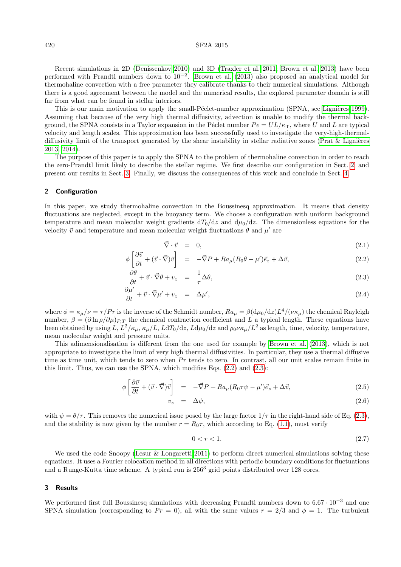### 420 SF2A 2015

Recent simulations in 2D [\(Denissenkov 2010\)](#page-3-3) and 3D [\(Traxler et al. 2011;](#page-3-13) [Brown et al. 2013\)](#page-3-14) have been performed with Prandtl numbers down to  $10^{-2}$ . [Brown et al.](#page-3-14) [\(2013\)](#page-3-14) also proposed an analytical model for thermohaline convection with a free parameter they calibrate thanks to their numerical simulations. Although there is a good agreement between the model and the numerical results, the explored parameter domain is still far from what can be found in stellar interiors.

This is our main motivation to apply the small-Péclet-number approximation (SPNA, see Lignières 1999). Assuming that because of the very high thermal diffusivity, advection is unable to modify the thermal background, the SPNA consists in a Taylor expansion in the Péclet number  $Pe = UL/\kappa_T$ , where U and L are typical velocity and length scales. This approximation has been successfully used to investigate the very-high-thermaldiffusivity limit of the transport generated by the shear instability in stellar radiative zones (Prat  $\&$  Lignières [2013,](#page-3-16) [2014\)](#page-3-17).

The purpose of this paper is to apply the SPNA to the problem of thermohaline convection in order to reach the zero-Prandtl limit likely to describe the stellar regime. We first describe our configuration in Sect. [2,](#page-1-0) and present our results in Sect. [3.](#page-1-1) Finally, we discuss the consequences of this work and conclude in Sect. [4.](#page-2-0)

### <span id="page-1-0"></span>2 Configuration

In this paper, we study thermohaline convection in the Boussinesq approximation. It means that density fluctuations are neglected, except in the buoyancy term. We choose a configuration with uniform background temperature and mean molecular weight gradients  $dT_0/dz$  and  $d\mu_0/dz$ . The dimensionless equations for the velocity  $\vec{v}$  and temperature and mean molecular weight fluctuations  $\theta$  and  $\mu'$  are

<span id="page-1-2"></span>
$$
\vec{\nabla} \cdot \vec{v} = 0, \tag{2.1}
$$

$$
\phi \left[ \frac{\partial \vec{v}}{\partial t} + (\vec{v} \cdot \vec{\nabla}) \vec{v} \right] = -\vec{\nabla} P + R a_{\mu} (R_0 \theta - \mu') \vec{e}_z + \Delta \vec{v}, \qquad (2.2)
$$

$$
\frac{\partial \theta}{\partial t} + \vec{v} \cdot \vec{\nabla} \theta + v_z = \frac{1}{\tau} \Delta \theta, \tag{2.3}
$$

$$
\frac{\partial \mu'}{\partial t} + \vec{v} \cdot \vec{\nabla} \mu' + v_z = \Delta \mu', \qquad (2.4)
$$

where  $\phi = \kappa_\mu/\nu = \tau/Pr$  is the inverse of the Schmidt number,  $Ra_\mu = \beta(\mathrm{d}\mu_0/\mathrm{d}z)L^4/(\nu\kappa_\mu)$  the chemical Rayleigh number,  $\beta = (\partial \ln \rho/\partial \mu)_{P,T}$  the chemical contraction coefficient and L a typical length. These equations have been obtained by using  $L, L^2/\kappa_\mu, \kappa_\mu/L, LdT_0/dz, Ld\mu_0/dz$  and  $\rho_0 \nu \kappa_\mu/L^2$  as length, time, velocity, temperature, mean molecular weight and pressure units.

This adimensionalisation is different from the one used for example by [Brown et al.](#page-3-14) [\(2013\)](#page-3-14), which is not appropriate to investigate the limit of very high thermal diffusivities. In particular, they use a thermal diffusive time as time unit, which tends to zero when  $Pr$  tends to zero. In contrast, all our unit scales remain finite in this limit. Thus, we can use the SPNA, which modifies Eqs. [\(2.2\)](#page-1-2) and [\(2.3\)](#page-1-2):

$$
\phi \left[ \frac{\partial \vec{v}}{\partial t} + (\vec{v} \cdot \vec{\nabla}) \vec{v} \right] = -\vec{\nabla} P + Ra_{\mu} (R_0 \tau \psi - \mu') \vec{e}_z + \Delta \vec{v}, \qquad (2.5)
$$

$$
v_z = \Delta \psi, \tag{2.6}
$$

with  $\psi = \theta/\tau$ . This removes the numerical issue posed by the large factor  $1/\tau$  in the right-hand side of Eq. [\(2.3\)](#page-1-2), and the stability is now given by the number  $r = R_0 \tau$ , which according to Eq. [\(1.1\)](#page-0-0), must verify

$$
0 < r < 1. \tag{2.7}
$$

We used the code Snoopy [\(Lesur & Longaretti 2011\)](#page-3-18) to perform direct numerical simulations solving these equations. It uses a Fourier colocation method in all directions with periodic boundary conditions for fluctuations and a Runge-Kutta time scheme. A typical run is  $256<sup>3</sup>$  grid points distributed over 128 cores.

#### <span id="page-1-1"></span>3 Results

We performed first full Boussinesq simulations with decreasing Prandtl numbers down to  $6.67 \cdot 10^{-3}$  and one SPNA simulation (corresponding to  $Pr = 0$ ), all with the same values  $r = 2/3$  and  $\phi = 1$ . The turbulent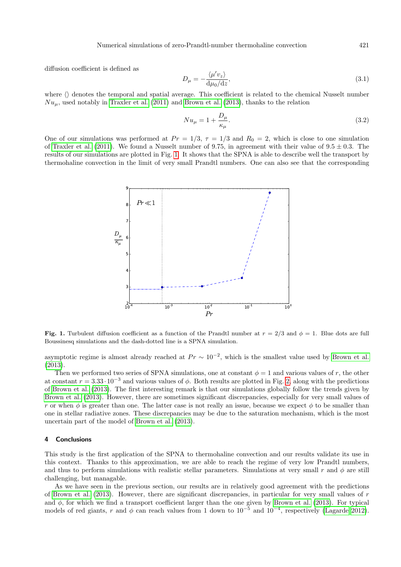Numerical simulations of zero-Prandtl-number thermohaline convection 421

diffusion coefficient is defined as

$$
D_{\mu} = -\frac{\langle \mu' v_z \rangle}{\mathrm{d}\mu_0/\mathrm{d}z},\tag{3.1}
$$

where  $\langle \rangle$  denotes the temporal and spatial average. This coefficient is related to the chemical Nusselt number  $Nu_{\mu}$ , used notably in [Traxler et al.](#page-3-13) [\(2011\)](#page-3-13) and [Brown et al.](#page-3-14) [\(2013\)](#page-3-14), thanks to the relation

$$
Nu_{\mu} = 1 + \frac{D_{\mu}}{\kappa_{\mu}}.\tag{3.2}
$$

One of our simulations was performed at  $Pr = 1/3$ ,  $\tau = 1/3$  and  $R_0 = 2$ , which is close to one simulation of [Traxler et al.](#page-3-13) [\(2011\)](#page-3-13). We found a Nusselt number of 9.75, in agreement with their value of  $9.5 \pm 0.3$ . The results of our simulations are plotted in Fig. [1.](#page-2-1) It shows that the SPNA is able to describe well the transport by thermohaline convection in the limit of very small Prandtl numbers. One can also see that the corresponding



<span id="page-2-1"></span>Fig. 1. Turbulent diffusion coefficient as a function of the Prandtl number at  $r = 2/3$  and  $\phi = 1$ . Blue dots are full Boussinesq simulations and the dash-dotted line is a SPNA simulation.

asymptotic regime is almost already reached at  $Pr \sim 10^{-2}$ , which is the smallest value used by [Brown et al.](#page-3-14) [\(2013\)](#page-3-14).

Then we performed two series of SPNA simulations, one at constant  $\phi = 1$  and various values of r, the other at constant  $r = 3.33 \cdot 10^{-3}$  and various values of  $\phi$ . Both results are plotted in Fig. [2,](#page-3-19) along with the predictions of [Brown et al.](#page-3-14) [\(2013\)](#page-3-14). The first interesting remark is that our simulations globally follow the trends given by [Brown et al.](#page-3-14) [\(2013\)](#page-3-14). However, there are sometimes significant discrepancies, especially for very small values of r or when  $\phi$  is greater than one. The latter case is not really an issue, because we expect  $\phi$  to be smaller than one in stellar radiative zones. These discrepancies may be due to the saturation mechanism, which is the most uncertain part of the model of [Brown et al.](#page-3-14) [\(2013\)](#page-3-14).

## <span id="page-2-0"></span>4 Conclusions

This study is the first application of the SPNA to thermohaline convection and our results validate its use in this context. Thanks to this approximation, we are able to reach the regime of very low Prandtl numbers, and thus to perform simulations with realistic stellar parameters. Simulations at very small r and  $\phi$  are still challenging, but managable.

As we have seen in the previous section, our results are in relatively good agreement with the predictions of [Brown et al.](#page-3-14) [\(2013\)](#page-3-14). However, there are significant discrepancies, in particular for very small values of r and  $\phi$ , for which we find a transport coefficient larger than the one given by [Brown et al.](#page-3-14) [\(2013\)](#page-3-14). For typical models of red giants, r and  $\phi$  can reach values from 1 down to 10<sup>-5</sup> and 10<sup>-4</sup>, respectively [\(Lagarde 2012\)](#page-3-20).